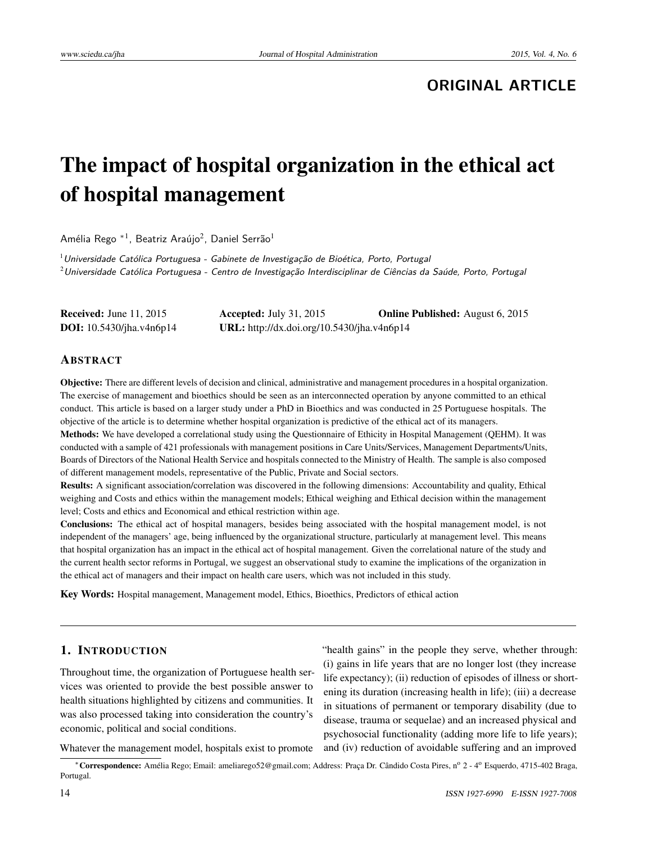# **ORIGINAL ARTICLE**

# The impact of hospital organization in the ethical act of hospital management

Amélia Rego \*<sup>1</sup>, Beatriz Araújo<sup>2</sup>, Daniel Serrão<sup>1</sup>

 $1$ Universidade Católica Portuguesa - Gabinete de Investigação de Bioética, Porto, Portugal  $2$ Universidade Católica Portuguesa - Centro de Investigação Interdisciplinar de Ciências da Saúde, Porto, Portugal

| <b>Received:</b> June $11, 2015$ | Accepted: July 31, 2015                    | <b>Online Published:</b> August 6, 2015 |
|----------------------------------|--------------------------------------------|-----------------------------------------|
| <b>DOI:</b> 10.5430/jha.v4n6p14  | URL: http://dx.doi.org/10.5430/jha.v4n6p14 |                                         |

#### ABSTRACT

Objective: There are different levels of decision and clinical, administrative and management procedures in a hospital organization. The exercise of management and bioethics should be seen as an interconnected operation by anyone committed to an ethical conduct. This article is based on a larger study under a PhD in Bioethics and was conducted in 25 Portuguese hospitals. The objective of the article is to determine whether hospital organization is predictive of the ethical act of its managers.

Methods: We have developed a correlational study using the Questionnaire of Ethicity in Hospital Management (QEHM). It was conducted with a sample of 421 professionals with management positions in Care Units/Services, Management Departments/Units, Boards of Directors of the National Health Service and hospitals connected to the Ministry of Health. The sample is also composed of different management models, representative of the Public, Private and Social sectors.

Results: A significant association/correlation was discovered in the following dimensions: Accountability and quality, Ethical weighing and Costs and ethics within the management models; Ethical weighing and Ethical decision within the management level; Costs and ethics and Economical and ethical restriction within age.

Conclusions: The ethical act of hospital managers, besides being associated with the hospital management model, is not independent of the managers' age, being influenced by the organizational structure, particularly at management level. This means that hospital organization has an impact in the ethical act of hospital management. Given the correlational nature of the study and the current health sector reforms in Portugal, we suggest an observational study to examine the implications of the organization in the ethical act of managers and their impact on health care users, which was not included in this study.

Key Words: Hospital management, Management model, Ethics, Bioethics, Predictors of ethical action

### 1. INTRODUCTION

Throughout time, the organization of Portuguese health services was oriented to provide the best possible answer to health situations highlighted by citizens and communities. It was also processed taking into consideration the country's economic, political and social conditions.

"health gains" in the people they serve, whether through: (i) gains in life years that are no longer lost (they increase life expectancy); (ii) reduction of episodes of illness or shortening its duration (increasing health in life); (iii) a decrease in situations of permanent or temporary disability (due to disease, trauma or sequelae) and an increased physical and psychosocial functionality (adding more life to life years); and (iv) reduction of avoidable suffering and an improved

Whatever the management model, hospitals exist to promote

<sup>∗</sup>Correspondence: Amélia Rego; Email: ameliarego52@gmail.com; Address: Praça Dr. Cândido Costa Pires, n<sup>o</sup> 2 - 4<sup>o</sup> Esquerdo, 4715-402 Braga, Portugal.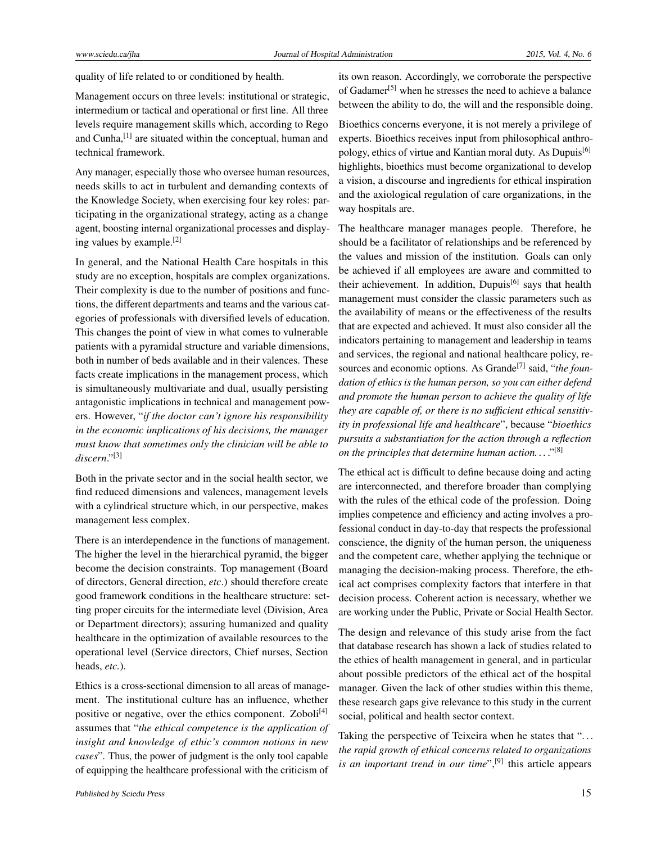quality of life related to or conditioned by health.

Management occurs on three levels: institutional or strategic, intermedium or tactical and operational or first line. All three levels require management skills which, according to Rego and Cunha,<sup>[\[1\]](#page-6-0)</sup> are situated within the conceptual, human and technical framework.

Any manager, especially those who oversee human resources, needs skills to act in turbulent and demanding contexts of the Knowledge Society, when exercising four key roles: participating in the organizational strategy, acting as a change agent, boosting internal organizational processes and displaying values by example.[\[2\]](#page-6-1)

In general, and the National Health Care hospitals in this study are no exception, hospitals are complex organizations. Their complexity is due to the number of positions and functions, the different departments and teams and the various categories of professionals with diversified levels of education. This changes the point of view in what comes to vulnerable patients with a pyramidal structure and variable dimensions, both in number of beds available and in their valences. These facts create implications in the management process, which is simultaneously multivariate and dual, usually persisting antagonistic implications in technical and management powers. However, "*if the doctor can't ignore his responsibility in the economic implications of his decisions, the manager must know that sometimes only the clinician will be able to discern*."[\[3\]](#page-6-2)

Both in the private sector and in the social health sector, we find reduced dimensions and valences, management levels with a cylindrical structure which, in our perspective, makes management less complex.

There is an interdependence in the functions of management. The higher the level in the hierarchical pyramid, the bigger become the decision constraints. Top management (Board of directors, General direction, *etc*.) should therefore create good framework conditions in the healthcare structure: setting proper circuits for the intermediate level (Division, Area or Department directors); assuring humanized and quality healthcare in the optimization of available resources to the operational level (Service directors, Chief nurses, Section heads, *etc.*).

Ethics is a cross-sectional dimension to all areas of management. The institutional culture has an influence, whether positive or negative, over the ethics component. Zoboli $^{[4]}$  $^{[4]}$  $^{[4]}$ assumes that "*the ethical competence is the application of insight and knowledge of ethic's common notions in new cases*". Thus, the power of judgment is the only tool capable of equipping the healthcare professional with the criticism of

its own reason. Accordingly, we corroborate the perspective of Gadamer<sup>[\[5\]](#page-6-4)</sup> when he stresses the need to achieve a balance between the ability to do, the will and the responsible doing.

Bioethics concerns everyone, it is not merely a privilege of experts. Bioethics receives input from philosophical anthro-pology, ethics of virtue and Kantian moral duty. As Dupuis<sup>[\[6\]](#page-6-5)</sup> highlights, bioethics must become organizational to develop a vision, a discourse and ingredients for ethical inspiration and the axiological regulation of care organizations, in the way hospitals are.

The healthcare manager manages people. Therefore, he should be a facilitator of relationships and be referenced by the values and mission of the institution. Goals can only be achieved if all employees are aware and committed to their achievement. In addition, Dupuis<sup>[\[6\]](#page-6-5)</sup> says that health management must consider the classic parameters such as the availability of means or the effectiveness of the results that are expected and achieved. It must also consider all the indicators pertaining to management and leadership in teams and services, the regional and national healthcare policy, re-sources and economic options. As Grande<sup>[\[7\]](#page-6-6)</sup> said, "*the foundation of ethics is the human person, so you can either defend and promote the human person to achieve the quality of life they are capable of, or there is no sufficient ethical sensitivity in professional life and healthcare*", because "*bioethics pursuits a substantiation for the action through a reflection on the principles that determine human action. . .* ."[\[8\]](#page-6-7)

The ethical act is difficult to define because doing and acting are interconnected, and therefore broader than complying with the rules of the ethical code of the profession. Doing implies competence and efficiency and acting involves a professional conduct in day-to-day that respects the professional conscience, the dignity of the human person, the uniqueness and the competent care, whether applying the technique or managing the decision-making process. Therefore, the ethical act comprises complexity factors that interfere in that decision process. Coherent action is necessary, whether we are working under the Public, Private or Social Health Sector.

The design and relevance of this study arise from the fact that database research has shown a lack of studies related to the ethics of health management in general, and in particular about possible predictors of the ethical act of the hospital manager. Given the lack of other studies within this theme, these research gaps give relevance to this study in the current social, political and health sector context.

Taking the perspective of Teixeira when he states that "... *the rapid growth of ethical concerns related to organizations* is an important trend in our time",<sup>[\[9\]](#page-6-8)</sup> this article appears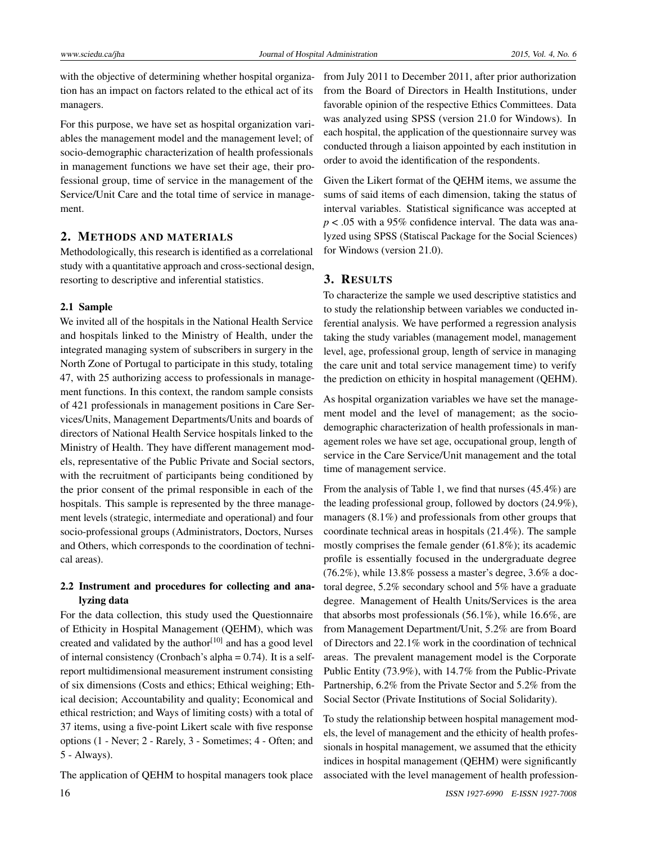with the objective of determining whether hospital organization has an impact on factors related to the ethical act of its managers.

For this purpose, we have set as hospital organization variables the management model and the management level; of socio-demographic characterization of health professionals in management functions we have set their age, their professional group, time of service in the management of the Service/Unit Care and the total time of service in management.

#### 2. METHODS AND MATERIALS

Methodologically, this research is identified as a correlational study with a quantitative approach and cross-sectional design, resorting to descriptive and inferential statistics.

#### 2.1 Sample

We invited all of the hospitals in the National Health Service and hospitals linked to the Ministry of Health, under the integrated managing system of subscribers in surgery in the North Zone of Portugal to participate in this study, totaling 47, with 25 authorizing access to professionals in management functions. In this context, the random sample consists of 421 professionals in management positions in Care Services/Units, Management Departments/Units and boards of directors of National Health Service hospitals linked to the Ministry of Health. They have different management models, representative of the Public Private and Social sectors, with the recruitment of participants being conditioned by the prior consent of the primal responsible in each of the hospitals. This sample is represented by the three management levels (strategic, intermediate and operational) and four socio-professional groups (Administrators, Doctors, Nurses and Others, which corresponds to the coordination of technical areas).

## 2.2 Instrument and procedures for collecting and analyzing data

For the data collection, this study used the Questionnaire of Ethicity in Hospital Management (QEHM), which was created and validated by the author<sup>[\[10\]](#page-6-9)</sup> and has a good level of internal consistency (Cronbach's alpha  $= 0.74$ ). It is a selfreport multidimensional measurement instrument consisting of six dimensions (Costs and ethics; Ethical weighing; Ethical decision; Accountability and quality; Economical and ethical restriction; and Ways of limiting costs) with a total of 37 items, using a five-point Likert scale with five response options (1 - Never; 2 - Rarely, 3 - Sometimes; 4 - Often; and 5 - Always).

The application of QEHM to hospital managers took place

from July 2011 to December 2011, after prior authorization from the Board of Directors in Health Institutions, under favorable opinion of the respective Ethics Committees. Data was analyzed using SPSS (version 21.0 for Windows). In each hospital, the application of the questionnaire survey was conducted through a liaison appointed by each institution in order to avoid the identification of the respondents.

Given the Likert format of the QEHM items, we assume the sums of said items of each dimension, taking the status of interval variables. Statistical significance was accepted at *p* < .05 with a 95% confidence interval. The data was analyzed using SPSS (Statiscal Package for the Social Sciences) for Windows (version 21.0).

# 3. RESULTS

To characterize the sample we used descriptive statistics and to study the relationship between variables we conducted inferential analysis. We have performed a regression analysis taking the study variables (management model, management level, age, professional group, length of service in managing the care unit and total service management time) to verify the prediction on ethicity in hospital management (QEHM).

As hospital organization variables we have set the management model and the level of management; as the sociodemographic characterization of health professionals in management roles we have set age, occupational group, length of service in the Care Service/Unit management and the total time of management service.

From the analysis of Table [1,](#page-3-0) we find that nurses (45.4%) are the leading professional group, followed by doctors (24.9%), managers (8.1%) and professionals from other groups that coordinate technical areas in hospitals (21.4%). The sample mostly comprises the female gender (61.8%); its academic profile is essentially focused in the undergraduate degree (76.2%), while 13.8% possess a master's degree, 3.6% a doctoral degree, 5.2% secondary school and 5% have a graduate degree. Management of Health Units/Services is the area that absorbs most professionals  $(56.1\%)$ , while 16.6%, are from Management Department/Unit, 5.2% are from Board of Directors and 22.1% work in the coordination of technical areas. The prevalent management model is the Corporate Public Entity (73.9%), with 14.7% from the Public-Private Partnership, 6.2% from the Private Sector and 5.2% from the Social Sector (Private Institutions of Social Solidarity).

To study the relationship between hospital management models, the level of management and the ethicity of health professionals in hospital management, we assumed that the ethicity indices in hospital management (QEHM) were significantly associated with the level management of health profession-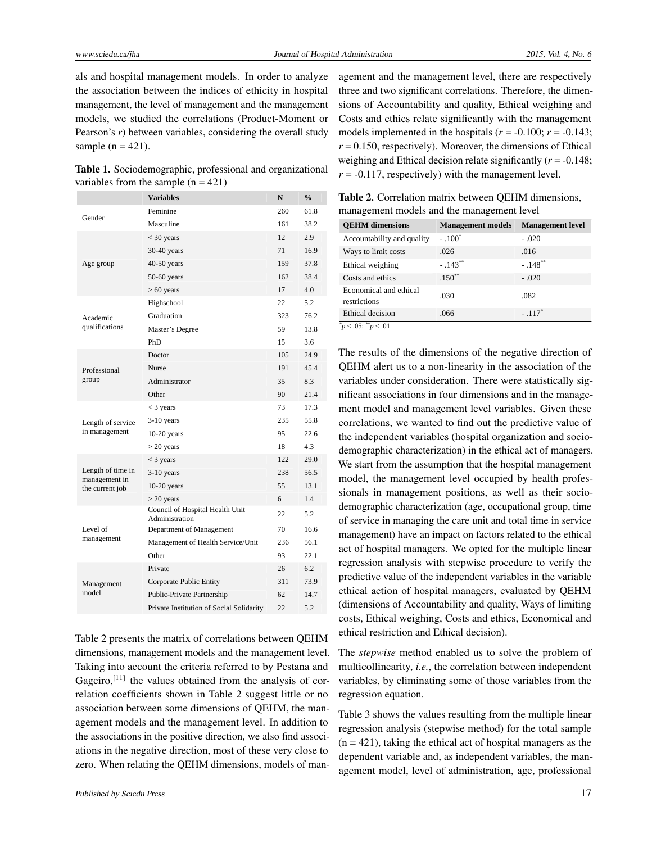als and hospital management models. In order to analyze the association between the indices of ethicity in hospital management, the level of management and the management models, we studied the correlations (Product-Moment or Pearson's *r*) between variables, considering the overall study sample  $(n = 421)$ .

<span id="page-3-0"></span>Table 1. Sociodemographic, professional and organizational variables from the sample  $(n = 421)$ 

|                                                       | <b>Variables</b>                                  | N   | $\frac{0}{0}$ |
|-------------------------------------------------------|---------------------------------------------------|-----|---------------|
| Gender                                                | Feminine                                          | 260 | 61.8          |
|                                                       | Masculine                                         | 161 | 38.2          |
|                                                       | $<$ 30 years                                      | 12  | 2.9           |
|                                                       | $30-40$ years                                     | 71  | 16.9          |
| Age group                                             | 40-50 years                                       | 159 | 37.8          |
|                                                       | $50-60$ years                                     | 162 | 38.4          |
|                                                       | $> 60$ years                                      | 17  | 4.0           |
|                                                       | Highschool                                        | 22  | 5.2           |
| Academic                                              | Graduation                                        | 323 | 76.2          |
| qualifications                                        | Master's Degree                                   | 59  | 13.8          |
|                                                       | PhD                                               | 15  | 3.6           |
|                                                       | Doctor                                            | 105 | 24.9          |
| Professional                                          | <b>Nurse</b>                                      | 191 | 45.4          |
| group                                                 | Administrator                                     | 35  | 8.3           |
|                                                       | Other                                             | 90  | 21.4          |
|                                                       | $<$ 3 years                                       | 73  | 17.3          |
| Length of service<br>in management                    | $3-10$ years                                      | 235 | 55.8          |
|                                                       | $10-20$ years                                     | 95  | 22.6          |
|                                                       | $>$ 20 years                                      | 18  | 4.3           |
| Length of time in<br>management in<br>the current job | $<$ 3 years                                       | 122 | 29.0          |
|                                                       | 3-10 years                                        | 238 | 56.5          |
|                                                       | $10-20$ years                                     | 55  | 13.1          |
|                                                       | $>$ 20 years                                      | 6   | 1.4           |
| Level of<br>management                                | Council of Hospital Health Unit<br>Administration | 22  | 5.2           |
|                                                       | Department of Management                          | 70  | 16.6          |
|                                                       | Management of Health Service/Unit                 | 236 | 56.1          |
|                                                       | Other                                             | 93  | 22.1          |
| Management<br>model                                   | Private                                           | 26  | 6.2           |
|                                                       | Corporate Public Entity                           | 311 | 73.9          |
|                                                       | Public-Private Partnership                        | 62  | 14.7          |
|                                                       | Private Institution of Social Solidarity          | 22  | 5.2           |

Table [2](#page-3-1) presents the matrix of correlations between QEHM dimensions, management models and the management level. Taking into account the criteria referred to by Pestana and Gageiro, $^{[11]}$  $^{[11]}$  $^{[11]}$  the values obtained from the analysis of correlation coefficients shown in Table [2](#page-3-1) suggest little or no association between some dimensions of QEHM, the management models and the management level. In addition to the associations in the positive direction, we also find associations in the negative direction, most of these very close to zero. When relating the QEHM dimensions, models of management and the management level, there are respectively three and two significant correlations. Therefore, the dimensions of Accountability and quality, Ethical weighing and Costs and ethics relate significantly with the management models implemented in the hospitals ( $r = -0.100$ ;  $r = -0.143$ ;  $r = 0.150$ , respectively). Moreover, the dimensions of Ethical weighing and Ethical decision relate significantly (*r* = -0.148;  $r = -0.117$ , respectively) with the management level.

<span id="page-3-1"></span>Table 2. Correlation matrix between QEHM dimensions, management models and the management level

| <b>OEHM</b> dimensions                                            | <b>Management models</b> | <b>Management</b> level |
|-------------------------------------------------------------------|--------------------------|-------------------------|
| Accountability and quality                                        | $-.100^*$                | $-.020$                 |
| Ways to limit costs                                               | .026                     | .016                    |
| Ethical weighing                                                  | $-.143***$               | $-.148***$              |
| Costs and ethics                                                  | $.150**$                 | $-.020$                 |
| Economical and ethical<br>restrictions                            | .030                     | .082                    |
| Ethical decision<br>$\overline{\ast}$<br>$0e^{-88}$<br>$\sim$ 0.1 | .066                     | $-.117"$                |

 $p < .05$ ;  $p < .01$ 

The results of the dimensions of the negative direction of QEHM alert us to a non-linearity in the association of the variables under consideration. There were statistically significant associations in four dimensions and in the management model and management level variables. Given these correlations, we wanted to find out the predictive value of the independent variables (hospital organization and sociodemographic characterization) in the ethical act of managers. We start from the assumption that the hospital management model, the management level occupied by health professionals in management positions, as well as their sociodemographic characterization (age, occupational group, time of service in managing the care unit and total time in service management) have an impact on factors related to the ethical act of hospital managers. We opted for the multiple linear regression analysis with stepwise procedure to verify the predictive value of the independent variables in the variable ethical action of hospital managers, evaluated by QEHM (dimensions of Accountability and quality, Ways of limiting costs, Ethical weighing, Costs and ethics, Economical and ethical restriction and Ethical decision).

The *stepwise* method enabled us to solve the problem of multicollinearity, *i.e.*, the correlation between independent variables, by eliminating some of those variables from the regression equation.

Table [3](#page-4-0) shows the values resulting from the multiple linear regression analysis (stepwise method) for the total sample  $(n = 421)$ , taking the ethical act of hospital managers as the dependent variable and, as independent variables, the management model, level of administration, age, professional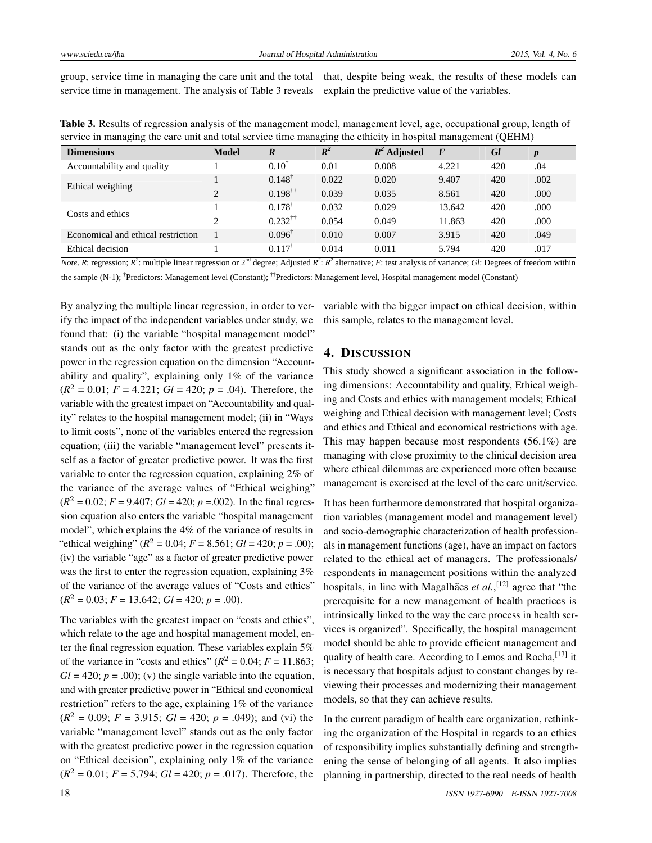group, service time in managing the care unit and the total service time in management. The analysis of Table [3](#page-4-0) reveals

that, despite being weak, the results of these models can explain the predictive value of the variables.

| $\tilde{}$<br>$\sim$               |                |                          | $\tilde{}$<br>ີ |                | ຼ        |     |      |
|------------------------------------|----------------|--------------------------|-----------------|----------------|----------|-----|------|
| <b>Dimensions</b>                  | <b>Model</b>   | $\boldsymbol{R}$         | $R^2$           | $R^2$ Adjusted | $\bm{F}$ | Gl  |      |
| Accountability and quality         |                | $0.10^{1}$               | 0.01            | 0.008          | 4.221    | 420 | .04  |
| Ethical weighing                   |                | $0.148^{\dagger}$        | 0.022           | 0.020          | 9.407    | 420 | .002 |
|                                    | $\overline{c}$ | $0.198^{\dagger\dagger}$ | 0.039           | 0.035          | 8.561    | 420 | .000 |
| Costs and ethics                   |                | $0.178^{\dagger}$        | 0.032           | 0.029          | 13.642   | 420 | .000 |
|                                    | 2              | $0.232^{\dagger\dagger}$ | 0.054           | 0.049          | 11.863   | 420 | .000 |
| Economical and ethical restriction |                | $0.096^{\dagger}$        | 0.010           | 0.007          | 3.915    | 420 | .049 |
| Ethical decision                   |                | $0.117^{T}$              | 0.014           | 0.011          | 5.794    | 420 | .017 |

<span id="page-4-0"></span>Table 3. Results of regression analysis of the management model, management level, age, occupational group, length of service in managing the care unit and total service time managing the ethicity in hospital management (QEHM)

*Note*. *R*: regression; *R*<sup>2</sup>: multiple linear regression or  $2<sup>nd</sup>$  degree; Adjusted *R*<sup>2</sup>: *R*<sup>2</sup> alternative; *F*: test analysis of variance; *Gl*: Degrees of freedom within

the sample (N-1); <sup>†</sup>Predictors: Management level (Constant); <sup>††</sup>Predictors: Management level, Hospital management model (Constant)

By analyzing the multiple linear regression, in order to verify the impact of the independent variables under study, we found that: (i) the variable "hospital management model" stands out as the only factor with the greatest predictive power in the regression equation on the dimension "Accountability and quality", explaining only 1% of the variance  $(R<sup>2</sup> = 0.01; F = 4.221; Gl = 420; p = .04)$ . Therefore, the variable with the greatest impact on "Accountability and quality" relates to the hospital management model; (ii) in "Ways to limit costs", none of the variables entered the regression equation; (iii) the variable "management level" presents itself as a factor of greater predictive power. It was the first variable to enter the regression equation, explaining 2% of the variance of the average values of "Ethical weighing"  $(R^2 = 0.02; F = 9.407; Gl = 420; p = .002)$ . In the final regression equation also enters the variable "hospital management model", which explains the 4% of the variance of results in "ethical weighing" ( $R^2 = 0.04$ ;  $F = 8.561$ ;  $Gl = 420$ ;  $p = .00$ ); (iv) the variable "age" as a factor of greater predictive power was the first to enter the regression equation, explaining  $3\%$ of the variance of the average values of "Costs and ethics"  $(R<sup>2</sup> = 0.03; F = 13.642; Gl = 420; p = .00).$ 

The variables with the greatest impact on "costs and ethics", which relate to the age and hospital management model, enter the final regression equation. These variables explain 5% of the variance in "costs and ethics" ( $R^2 = 0.04$ ;  $F = 11.863$ ;  $Gl = 420$ ;  $p = .00$ ); (v) the single variable into the equation, and with greater predictive power in "Ethical and economical restriction" refers to the age, explaining 1% of the variance  $(R<sup>2</sup> = 0.09; F = 3.915; Gl = 420; p = .049)$ ; and (vi) the variable "management level" stands out as the only factor with the greatest predictive power in the regression equation on "Ethical decision", explaining only 1% of the variance  $(R<sup>2</sup> = 0.01; F = 5,794; Gl = 420; p = .017)$ . Therefore, the variable with the bigger impact on ethical decision, within this sample, relates to the management level.

### 4. DISCUSSION

This study showed a significant association in the following dimensions: Accountability and quality, Ethical weighing and Costs and ethics with management models; Ethical weighing and Ethical decision with management level; Costs and ethics and Ethical and economical restrictions with age. This may happen because most respondents (56.1%) are managing with close proximity to the clinical decision area where ethical dilemmas are experienced more often because management is exercised at the level of the care unit/service.

It has been furthermore demonstrated that hospital organization variables (management model and management level) and socio-demographic characterization of health professionals in management functions (age), have an impact on factors related to the ethical act of managers. The professionals/ respondents in management positions within the analyzed hospitals, in line with Magalhães *et al.*,<sup>[\[12\]](#page-6-11)</sup> agree that "the prerequisite for a new management of health practices is intrinsically linked to the way the care process in health services is organized". Specifically, the hospital management model should be able to provide efficient management and quality of health care. According to Lemos and Rocha, <a>[\[13\]](#page-6-12)</a> it is necessary that hospitals adjust to constant changes by reviewing their processes and modernizing their management models, so that they can achieve results.

In the current paradigm of health care organization, rethinking the organization of the Hospital in regards to an ethics of responsibility implies substantially defining and strengthening the sense of belonging of all agents. It also implies planning in partnership, directed to the real needs of health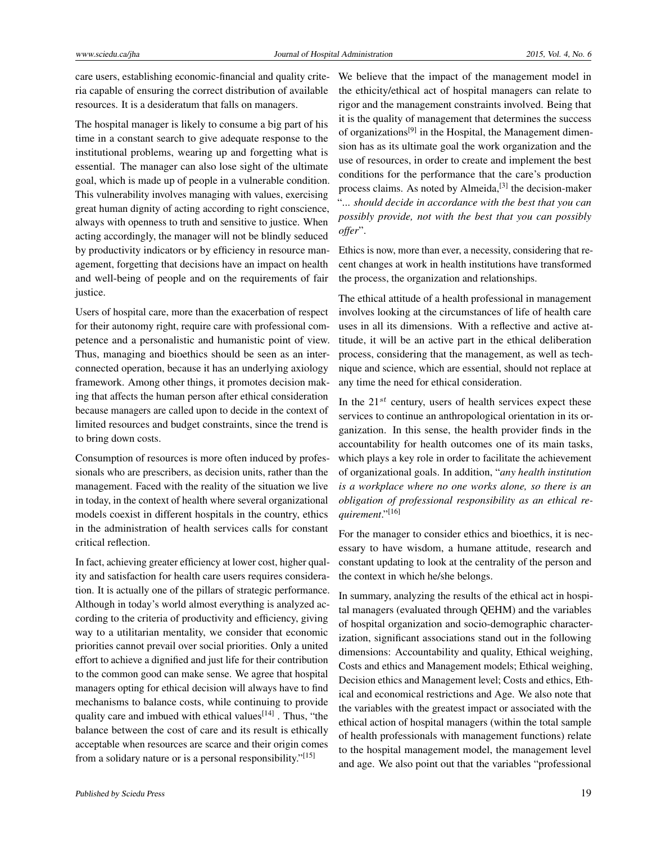care users, establishing economic-financial and quality criteria capable of ensuring the correct distribution of available resources. It is a desideratum that falls on managers.

The hospital manager is likely to consume a big part of his time in a constant search to give adequate response to the institutional problems, wearing up and forgetting what is essential. The manager can also lose sight of the ultimate goal, which is made up of people in a vulnerable condition. This vulnerability involves managing with values, exercising great human dignity of acting according to right conscience, always with openness to truth and sensitive to justice. When acting accordingly, the manager will not be blindly seduced by productivity indicators or by efficiency in resource management, forgetting that decisions have an impact on health and well-being of people and on the requirements of fair justice.

Users of hospital care, more than the exacerbation of respect for their autonomy right, require care with professional competence and a personalistic and humanistic point of view. Thus, managing and bioethics should be seen as an interconnected operation, because it has an underlying axiology framework. Among other things, it promotes decision making that affects the human person after ethical consideration because managers are called upon to decide in the context of limited resources and budget constraints, since the trend is to bring down costs.

Consumption of resources is more often induced by professionals who are prescribers, as decision units, rather than the management. Faced with the reality of the situation we live in today, in the context of health where several organizational models coexist in different hospitals in the country, ethics in the administration of health services calls for constant critical reflection.

In fact, achieving greater efficiency at lower cost, higher quality and satisfaction for health care users requires consideration. It is actually one of the pillars of strategic performance. Although in today's world almost everything is analyzed according to the criteria of productivity and efficiency, giving way to a utilitarian mentality, we consider that economic priorities cannot prevail over social priorities. Only a united effort to achieve a dignified and just life for their contribution to the common good can make sense. We agree that hospital managers opting for ethical decision will always have to find mechanisms to balance costs, while continuing to provide quality care and imbued with ethical values  $[14]$ . Thus, "the balance between the cost of care and its result is ethically acceptable when resources are scarce and their origin comes from a solidary nature or is a personal responsibility."<sup>[\[15\]](#page-6-14)</sup>

We believe that the impact of the management model in the ethicity/ethical act of hospital managers can relate to rigor and the management constraints involved. Being that it is the quality of management that determines the success of organizations<sup>[\[9\]](#page-6-8)</sup> in the Hospital, the Management dimension has as its ultimate goal the work organization and the use of resources, in order to create and implement the best conditions for the performance that the care's production process claims. As noted by Almeida,<sup>[\[3\]](#page-6-2)</sup> the decision-maker "... *should decide in accordance with the best that you can possibly provide, not with the best that you can possibly offer*".

Ethics is now, more than ever, a necessity, considering that recent changes at work in health institutions have transformed the process, the organization and relationships.

The ethical attitude of a health professional in management involves looking at the circumstances of life of health care uses in all its dimensions. With a reflective and active attitude, it will be an active part in the ethical deliberation process, considering that the management, as well as technique and science, which are essential, should not replace at any time the need for ethical consideration.

In the  $21^{st}$  century, users of health services expect these services to continue an anthropological orientation in its organization. In this sense, the health provider finds in the accountability for health outcomes one of its main tasks, which plays a key role in order to facilitate the achievement of organizational goals. In addition, "*any health institution is a workplace where no one works alone, so there is an obligation of professional responsibility as an ethical requirement*."[\[16\]](#page-6-15)

For the manager to consider ethics and bioethics, it is necessary to have wisdom, a humane attitude, research and constant updating to look at the centrality of the person and the context in which he/she belongs.

In summary, analyzing the results of the ethical act in hospital managers (evaluated through QEHM) and the variables of hospital organization and socio-demographic characterization, significant associations stand out in the following dimensions: Accountability and quality, Ethical weighing, Costs and ethics and Management models; Ethical weighing, Decision ethics and Management level; Costs and ethics, Ethical and economical restrictions and Age. We also note that the variables with the greatest impact or associated with the ethical action of hospital managers (within the total sample of health professionals with management functions) relate to the hospital management model, the management level and age. We also point out that the variables "professional